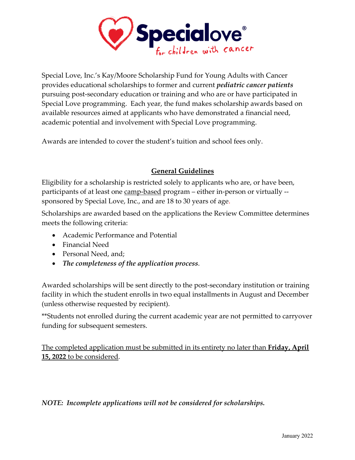

Special Love, Inc.'s Kay/Moore Scholarship Fund for Young Adults with Cancer provides educational scholarships to former and current *pediatric cancer patients* pursuing post-secondary education or training and who are or have participated in Special Love programming. Each year, the fund makes scholarship awards based on available resources aimed at applicants who have demonstrated a financial need, academic potential and involvement with Special Love programming.

Awards are intended to cover the student's tuition and school fees only.

## **General Guidelines**

Eligibility for a scholarship is restricted solely to applicants who are, or have been, participants of at least one camp-based program – either in-person or virtually - sponsored by Special Love, Inc., and are 18 to 30 years of age.

Scholarships are awarded based on the applications the Review Committee determines meets the following criteria:

- Academic Performance and Potential
- Financial Need
- Personal Need, and;
- *The completeness of the application process*.

Awarded scholarships will be sent directly to the post-secondary institution or training facility in which the student enrolls in two equal installments in August and December (unless otherwise requested by recipient).

\*\*Students not enrolled during the current academic year are not permitted to carryover funding for subsequent semesters.

The completed application must be submitted in its entirety no later than **Friday, April 15, 2022** to be considered.

*NOTE: Incomplete applications will not be considered for scholarships.*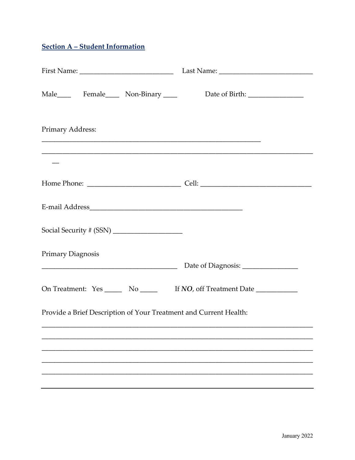# **Section A - Student Information**

| Primary Address:                                                           |  |  |  |  |  |
|----------------------------------------------------------------------------|--|--|--|--|--|
|                                                                            |  |  |  |  |  |
|                                                                            |  |  |  |  |  |
|                                                                            |  |  |  |  |  |
|                                                                            |  |  |  |  |  |
| <b>Primary Diagnosis</b>                                                   |  |  |  |  |  |
|                                                                            |  |  |  |  |  |
| On Treatment: Yes _______ No _______ If NO, off Treatment Date ___________ |  |  |  |  |  |
| Provide a Brief Description of Your Treatment and Current Health:          |  |  |  |  |  |
|                                                                            |  |  |  |  |  |
|                                                                            |  |  |  |  |  |
|                                                                            |  |  |  |  |  |
|                                                                            |  |  |  |  |  |
|                                                                            |  |  |  |  |  |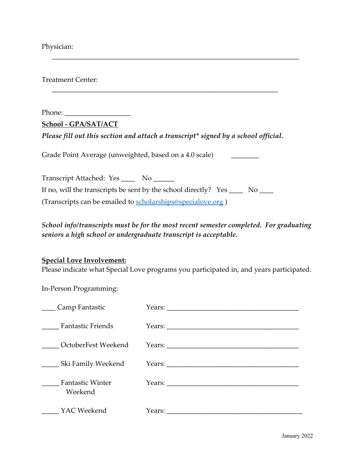Physician:

Treatment Center:

Phone:

**School - GPA/SAT/ACT**

*Please fill out this section and attach a transcript\* signed by a school official.*

\_\_\_\_\_\_\_\_\_\_\_\_\_\_\_\_\_\_\_\_\_\_\_\_\_\_\_\_\_\_\_\_\_\_\_\_\_\_\_\_\_\_\_\_\_\_\_\_\_\_\_\_\_\_\_\_\_\_\_\_\_\_\_\_\_

\_\_\_\_\_\_\_\_\_\_\_\_\_\_\_\_\_\_\_\_\_\_\_\_\_\_\_\_\_\_\_\_\_\_\_\_\_\_\_\_\_\_\_\_\_\_\_\_\_\_\_\_\_\_\_\_\_\_\_\_\_\_\_\_\_\_\_\_\_\_\_

Grade Point Average (unweighted, based on a 4.0 scale)

Transcript Attached: Yes \_\_\_\_\_ No \_\_\_\_\_\_ If no, will the transcripts be sent by the school directly?  $Yes \_\_\_$  No  $\_\_\_$ (Transcripts can be emailed to scholarships@specialove.org )

## *School info/transcripts must be for the most recent semester completed. For graduating seniors a high school or undergraduate transcript is acceptable.*

#### **Special Love Involvement:**

Please indicate what Special Love programs you participated in, and years participated.

In-Person Programming:

| Camp Fantastic                     |                        |
|------------------------------------|------------------------|
| <b>Fantastic Friends</b>           | Years: $\qquad \qquad$ |
| OctoberFest Weekend                |                        |
| . Ski Family Weekend               |                        |
| <b>Fantastic Winter</b><br>Weekend | Years:                 |
| YAC Weekend                        | Years:                 |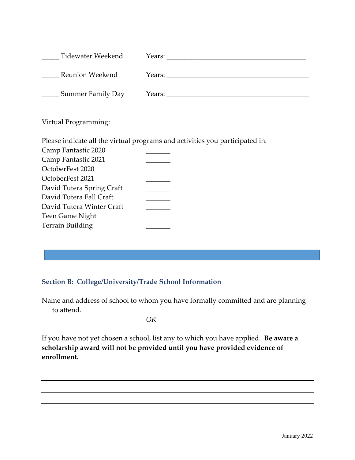| Tidewater Weekend | Years: |
|-------------------|--------|
| Reunion Weekend   | Years: |
| Summer Family Day | Years: |

Virtual Programming:

Please indicate all the virtual programs and activities you participated in.

| Camp Fantastic 2020       |  |
|---------------------------|--|
| Camp Fantastic 2021       |  |
| OctoberFest 2020          |  |
| OctoberFest 2021          |  |
| David Tutera Spring Craft |  |
| David Tutera Fall Craft   |  |
| David Tutera Winter Craft |  |
| Teen Game Night           |  |
| <b>Terrain Building</b>   |  |
|                           |  |

### **Section B: College/University/Trade School Information**

Name and address of school to whom you have formally committed and are planning to attend.

*OR*

If you have not yet chosen a school, list any to which you have applied. **Be aware a scholarship award will not be provided until you have provided evidence of enrollment.**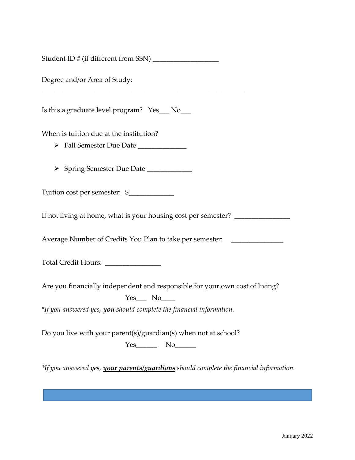Student ID # (if different from SSN) \_\_\_\_\_\_\_\_\_\_\_\_\_\_\_\_\_\_\_

\_\_\_\_\_\_\_\_\_\_\_\_\_\_\_\_\_\_\_\_\_\_\_\_\_\_\_\_\_\_\_\_\_\_\_\_\_\_\_\_\_\_\_\_\_\_\_\_\_\_\_\_\_\_\_\_\_\_

Degree and/or Area of Study:

Is this a graduate level program? Yes\_\_\_ No\_\_\_

When is tuition due at the institution?

- Ø Fall Semester Due Date \_\_\_\_\_\_\_\_\_\_\_\_\_\_
- Ø Spring Semester Due Date \_\_\_\_\_\_\_\_\_\_\_\_\_

Tuition cost per semester:  $\frac{1}{2}$ 

If not living at home, what is your housing cost per semester?

Average Number of Credits You Plan to take per semester: \_\_\_\_\_\_\_\_\_\_\_\_\_\_\_\_\_\_\_\_\_\_\_

Total Credit Hours: \_\_\_\_\_\_\_\_\_\_\_\_\_\_\_\_

Are you financially independent and responsible for your own cost of living?

 $Yes$  No $\_\_$ 

*\*If you answered yes, you should complete the financial information.*

Do you live with your parent(s)/guardian(s) when not at school? Yes\_\_\_\_\_\_ No\_\_\_\_\_\_

*\*If you answered yes, your parents/guardians should complete the financial information.*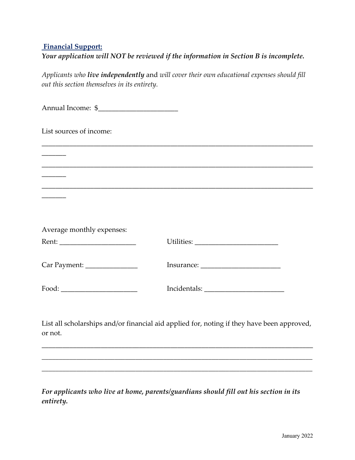### **Financial Support:**

| Your application will NOT be reviewed if the information in Section B is incomplete. |  |  |  |  |
|--------------------------------------------------------------------------------------|--|--|--|--|
|                                                                                      |  |  |  |  |

*Applicants who live independently* and *will cover their own educational expenses should fill out this section themselves in its entirety.*

Annual Income: \$\_\_\_\_\_\_\_\_\_\_\_\_\_\_\_\_\_\_\_\_\_\_\_ List sources of income: \_\_\_\_\_\_\_\_\_\_\_\_\_\_\_\_\_\_\_\_\_\_\_\_\_\_\_\_\_\_\_\_\_\_\_\_\_\_\_\_\_\_\_\_\_\_\_\_\_\_\_\_\_\_\_\_\_\_\_\_\_\_\_\_\_\_\_\_\_\_\_\_\_\_\_\_\_\_  $\overline{\phantom{a}}$ \_\_\_\_\_\_\_\_\_\_\_\_\_\_\_\_\_\_\_\_\_\_\_\_\_\_\_\_\_\_\_\_\_\_\_\_\_\_\_\_\_\_\_\_\_\_\_\_\_\_\_\_\_\_\_\_\_\_\_\_\_\_\_\_\_\_\_\_\_\_\_\_\_\_\_\_\_\_  $\overline{\phantom{a}}$ \_\_\_\_\_\_\_\_\_\_\_\_\_\_\_\_\_\_\_\_\_\_\_\_\_\_\_\_\_\_\_\_\_\_\_\_\_\_\_\_\_\_\_\_\_\_\_\_\_\_\_\_\_\_\_\_\_\_\_\_\_\_\_\_\_\_\_\_\_\_\_\_\_\_\_\_\_\_  $\overline{\phantom{a}}$ Average monthly expenses: Rent: \_\_\_\_\_\_\_\_\_\_\_\_\_\_\_\_\_\_\_\_\_\_ Utilities: \_\_\_\_\_\_\_\_\_\_\_\_\_\_\_\_\_\_\_\_\_\_\_\_ Car Payment: \_\_\_\_\_\_\_\_\_\_\_\_\_\_\_ Insurance: \_\_\_\_\_\_\_\_\_\_\_\_\_\_\_\_\_\_\_\_\_\_\_ Food: \_\_\_\_\_\_\_\_\_\_\_\_\_\_\_\_\_\_\_\_\_\_ Incidentals: \_\_\_\_\_\_\_\_\_\_\_\_\_\_\_\_\_\_\_\_\_\_\_ List all scholarships and/or financial aid applied for, noting if they have been approved, or not. \_\_\_\_\_\_\_\_\_\_\_\_\_\_\_\_\_\_\_\_\_\_\_\_\_\_\_\_\_\_\_\_\_\_\_\_\_\_\_\_\_\_\_\_\_\_\_\_\_\_\_\_\_\_\_\_\_\_\_\_\_\_\_\_\_\_\_\_\_\_\_\_\_\_\_\_\_\_

*For applicants who live at home, parents/guardians should fill out his section in its entirety.*

*\_\_\_\_\_\_\_\_\_\_\_\_\_\_\_\_\_\_\_\_\_\_\_\_\_\_\_\_\_\_\_\_\_\_\_\_\_\_\_\_\_\_\_\_\_\_\_\_\_\_\_\_\_\_\_\_\_\_\_\_\_\_\_\_\_\_\_\_\_\_\_\_\_\_\_\_\_\_*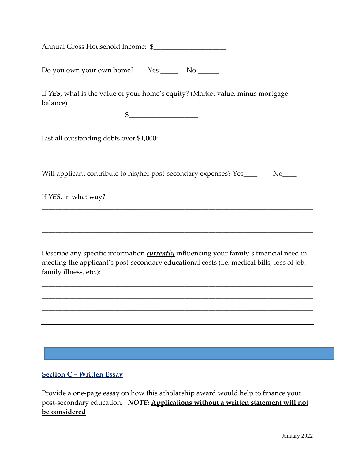Annual Gross Household Income: \$

Do you own your own home? Yes \_\_\_\_\_ No \_\_\_\_\_\_

If *YES*, what is the value of your home's equity? (Market value, minus mortgage balance)

 $\frac{1}{2}$ 

List all outstanding debts over \$1,000:

Will applicant contribute to his/her post-secondary expenses? Yes\_\_\_\_ No\_\_\_

\_\_\_\_\_\_\_\_\_\_\_\_\_\_\_\_\_\_\_\_\_\_\_\_\_\_\_\_\_\_\_\_\_\_\_\_\_\_\_\_\_\_\_\_\_\_\_\_\_\_\_\_\_\_\_\_\_\_\_\_\_\_\_\_\_\_\_\_\_\_\_\_\_\_\_\_\_\_

\_\_\_\_\_\_\_\_\_\_\_\_\_\_\_\_\_\_\_\_\_\_\_\_\_\_\_\_\_\_\_\_\_\_\_\_\_\_\_\_\_\_\_\_\_\_\_\_\_\_\_\_\_\_\_\_\_\_\_\_\_\_\_\_\_\_\_\_\_\_\_\_\_\_\_\_\_\_

\_\_\_\_\_\_\_\_\_\_\_\_\_\_\_\_\_\_\_\_\_\_\_\_\_\_\_\_\_\_\_\_\_\_\_\_\_\_\_\_\_\_\_\_\_\_\_\_\_\_\_\_\_\_\_\_\_\_\_\_\_\_\_\_\_\_\_\_\_\_\_\_\_\_\_\_\_\_

If *YES*, in what way?

Describe any specific information *currently* influencing your family's financial need in meeting the applicant's post-secondary educational costs (i.e. medical bills, loss of job, family illness, etc.):

\_\_\_\_\_\_\_\_\_\_\_\_\_\_\_\_\_\_\_\_\_\_\_\_\_\_\_\_\_\_\_\_\_\_\_\_\_\_\_\_\_\_\_\_\_\_\_\_\_\_\_\_\_\_\_\_\_\_\_\_\_\_\_\_\_\_\_\_\_\_\_\_\_\_\_\_\_\_

\_\_\_\_\_\_\_\_\_\_\_\_\_\_\_\_\_\_\_\_\_\_\_\_\_\_\_\_\_\_\_\_\_\_\_\_\_\_\_\_\_\_\_\_\_\_\_\_\_\_\_\_\_\_\_\_\_\_\_\_\_\_\_\_\_\_\_\_\_\_\_\_\_\_\_\_\_\_

\_\_\_\_\_\_\_\_\_\_\_\_\_\_\_\_\_\_\_\_\_\_\_\_\_\_\_\_\_\_\_\_\_\_\_\_\_\_\_\_\_\_\_\_\_\_\_\_\_\_\_\_\_\_\_\_\_\_\_\_\_\_\_\_\_\_\_\_\_\_\_\_\_\_\_\_\_\_

#### **Section C – Written Essay**

Provide a one-page essay on how this scholarship award would help to finance your post-secondary education. *NOTE:* **Applications without a written statement will not be considered**